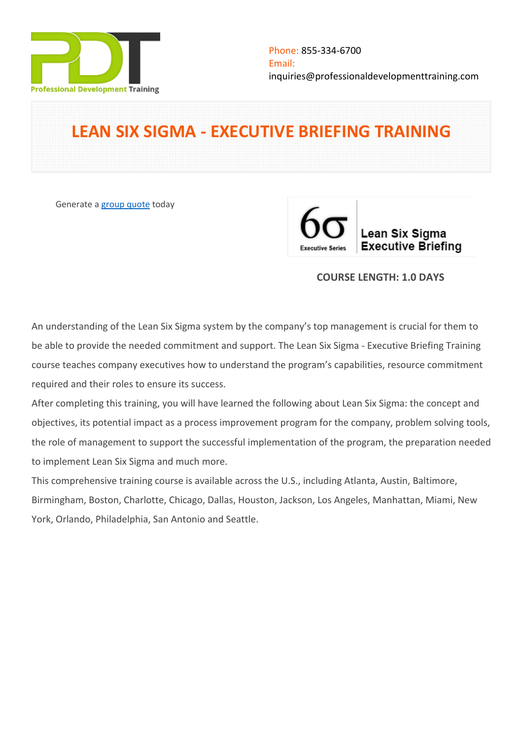

# **LEAN SIX SIGMA - EXECUTIVE BRIEFING TRAINING**

Generate a [group quote](https://professionaldevelopmenttraining.com/inhouse-training-quote?cse=PDT0173) today

Lean Six Sigma **Executive Briefing** 

# **COURSE LENGTH: 1.0 DAYS**

An understanding of the Lean Six Sigma system by the company's top management is crucial for them to be able to provide the needed commitment and support. The Lean Six Sigma - Executive Briefing Training course teaches company executives how to understand the program's capabilities, resource commitment required and their roles to ensure its success.

After completing this training, you will have learned the following about Lean Six Sigma: the concept and objectives, its potential impact as a process improvement program for the company, problem solving tools, the role of management to support the successful implementation of the program, the preparation needed to implement Lean Six Sigma and much more.

This comprehensive training course is available across the U.S., including Atlanta, Austin, Baltimore, Birmingham, Boston, Charlotte, Chicago, Dallas, Houston, Jackson, Los Angeles, Manhattan, Miami, New York, Orlando, Philadelphia, San Antonio and Seattle.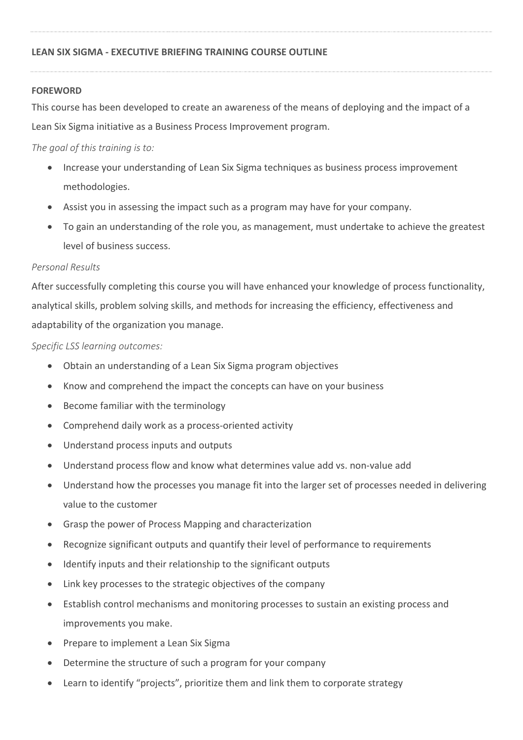## **FOREWORD**

This course has been developed to create an awareness of the means of deploying and the impact of a Lean Six Sigma initiative as a Business Process Improvement program.

*The goal of this training is to:*

- Increase your understanding of Lean Six Sigma techniques as business process improvement methodologies.
- Assist you in assessing the impact such as a program may have for your company.
- To gain an understanding of the role you, as management, must undertake to achieve the greatest level of business success.

## *Personal Results*

After successfully completing this course you will have enhanced your knowledge of process functionality, analytical skills, problem solving skills, and methods for increasing the efficiency, effectiveness and adaptability of the organization you manage.

*Specific LSS learning outcomes:*

- Obtain an understanding of a Lean Six Sigma program objectives
- Know and comprehend the impact the concepts can have on your business
- Become familiar with the terminology
- Comprehend daily work as a process-oriented activity
- Understand process inputs and outputs
- Understand process flow and know what determines value add vs. non-value add
- Understand how the processes you manage fit into the larger set of processes needed in delivering value to the customer
- Grasp the power of Process Mapping and characterization
- Recognize significant outputs and quantify their level of performance to requirements
- Identify inputs and their relationship to the significant outputs
- Link key processes to the strategic objectives of the company
- Establish control mechanisms and monitoring processes to sustain an existing process and improvements you make.
- Prepare to implement a Lean Six Sigma
- Determine the structure of such a program for your company
- Learn to identify "projects", prioritize them and link them to corporate strategy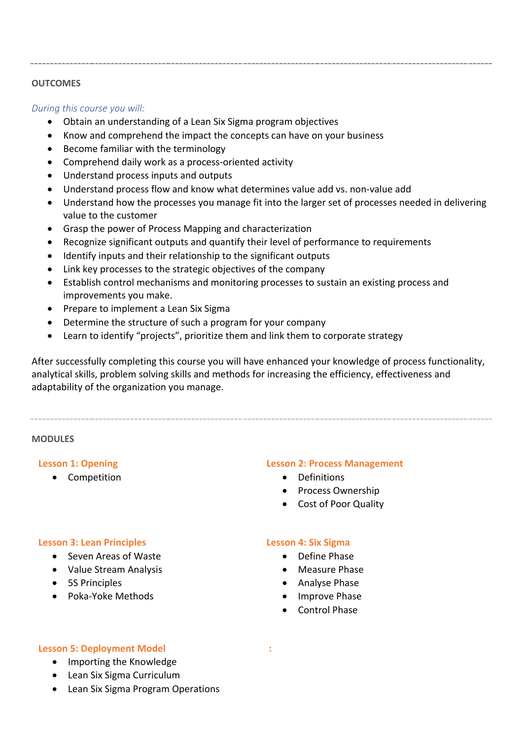## **OUTCOMES**

*During this course you will:*

- Obtain an understanding of a Lean Six Sigma program objectives
- Know and comprehend the impact the concepts can have on your business
- Become familiar with the terminology
- Comprehend daily work as a process-oriented activity
- Understand process inputs and outputs
- Understand process flow and know what determines value add vs. non-value add
- Understand how the processes you manage fit into the larger set of processes needed in delivering value to the customer
- Grasp the power of Process Mapping and characterization
- Recognize significant outputs and quantify their level of performance to requirements
- Identify inputs and their relationship to the significant outputs
- Link key processes to the strategic objectives of the company
- Establish control mechanisms and monitoring processes to sustain an existing process and improvements you make.
- Prepare to implement a Lean Six Sigma
- Determine the structure of such a program for your company
- Learn to identify "projects", prioritize them and link them to corporate strategy

After successfully completing this course you will have enhanced your knowledge of process functionality, analytical skills, problem solving skills and methods for increasing the efficiency, effectiveness and adaptability of the organization you manage.

#### **MODULES**

#### **Lesson 1: Opening**

• Competition

#### **Lesson 2: Process Management**

- **•** Definitions
- Process Ownership
- Cost of Poor Quality

#### **Lesson 3: Lean Principles**

- Seven Areas of Waste
- Value Stream Analysis
- 5S Principles
- Poka-Yoke Methods

### **Lesson 4: Six Sigma**

- Define Phase
- Measure Phase
- Analyse Phase
- Improve Phase
- Control Phase

 **:** 

#### **Lesson 5: Deployment Model**

- Importing the Knowledge
- Lean Six Sigma Curriculum
- Lean Six Sigma Program Operations